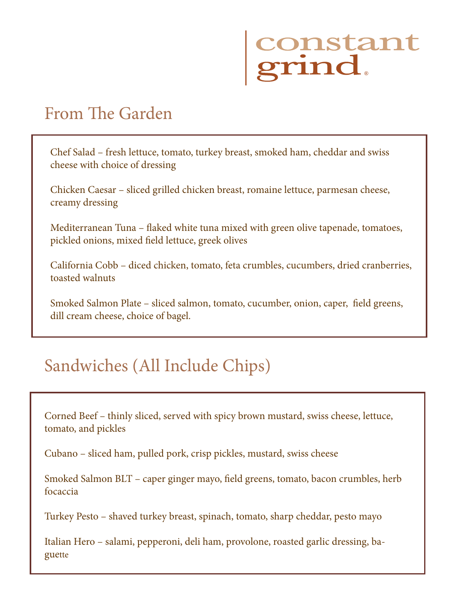# constant<br>grind

## From The Garden

Chef Salad – fresh lettuce, tomato, turkey breast, smoked ham, cheddar and swiss cheese with choice of dressing

Chicken Caesar – sliced grilled chicken breast, romaine lettuce, parmesan cheese, creamy dressing

Mediterranean Tuna – flaked white tuna mixed with green olive tapenade, tomatoes, pickled onions, mixed field lettuce, greek olives

California Cobb – diced chicken, tomato, feta crumbles, cucumbers, dried cranberries, toasted walnuts

Smoked Salmon Plate – sliced salmon, tomato, cucumber, onion, caper, field greens, dill cream cheese, choice of bagel.

## Sandwiches (All Include Chips)

Corned Beef – thinly sliced, served with spicy brown mustard, swiss cheese, lettuce, tomato, and pickles

Cubano – sliced ham, pulled pork, crisp pickles, mustard, swiss cheese

Smoked Salmon BLT – caper ginger mayo, field greens, tomato, bacon crumbles, herb focaccia

Turkey Pesto – shaved turkey breast, spinach, tomato, sharp cheddar, pesto mayo

Italian Hero – salami, pepperoni, deli ham, provolone, roasted garlic dressing, baguette